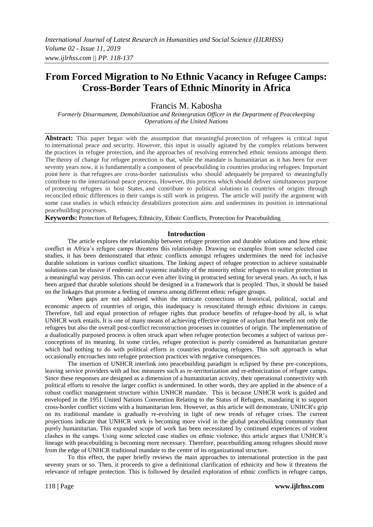# **From Forced Migration to No Ethnic Vacancy in Refugee Camps: Cross-Border Tears of Ethnic Minority in Africa**

Francis M. Kabosha

*Formerly Disarmament, Demobilization and Reintegration Officer in the Department of Peacekeeping Operations of the United Nations*

Abstract: This paper began with the assumption that meaningful protection of refugees is critical input to international peace and security. However, this input is usually agitated by the complex relations between the practices in refugee protection, and the approaches of resolving entrenched ethnic tensions amongst them. The theory of change for refugee protection is that, while the mandate is humanitarian as it has been for over seventy years now, it is fundamentally a component of peacebuilding in countries producing refugees. Important point here is that refugees are cross-border nationalists who should adequately be prepared to meaningfully contribute to the international peace process. However, this process which should deliver simultaneous purpose of protecting refugees in host States, and contribute to political solutions in countries of origins through reconciled ethnic differences in their camps is still work in progress. The article will justify the argument with some case studies in which ethnicity destabilizes protection aims and undermines its position in international peacebuilding processes.

**Keywords:** Protection of Refugees, Ethnicity, Ethnic Conflicts, Protection for Peacebuilding

#### **Introduction**

The article explores the relationship between refugee protection and durable solutions and how ethnic conflict in Africa"s refugee camps threatens this relationship. Drawing on examples from some selected case studies, it has been demonstrated that ethnic conflicts amongst refugees undermines the need for inclusive durable solutions in various conflict situations. The linking aspect of refugee protection to achieve sustainable solutions can be elusive if endemic and systemic inability of the minority ethnic refugees to realize protection in a meaningful way persists. This can occur even after living in protracted setting for several years. As such, it has been argued that durable solutions should be designed in a framework that is peopled. Thus, it should be based on the linkages that promote a feeling of oneness among different ethnic refugee groups.

When gaps are not addressed within the intricate connections of historical, political, social and economic aspects of countries of origin, this inadequacy is resuscitated through ethnic divisions in camps. Therefore, full and equal protection of refugee rights that produce benefits of refugee-hood by all, is what UNHCR work entails. It is one of many means of achieving effective regime of asylum that benefit not only the refugees but also the overall post-conflict reconstruction processes in countries of origin. The implementation of a dualistically purposed process is often struck apart when refugee protection becomes a subject of various preconceptions of its meaning. In some circles, refugee protection is purely considered as humanitarian gesture which had nothing to do with political efforts in countries producing refugees. This soft approach is what occasionally encroaches into refugee protection practices with negative consequences.

The insertion of UNHCR interlink into peacebuilding paradigm is eclipsed by these pre-conceptions, leaving service providers with ad hoc measures such as re-territorization and re-ethnicization of refugee camps. Since these responses are designed as a dimension of a humanitarian activity, their operational connectivity with political efforts to resolve the larger conflict is undermined. In other words, they are applied in the absence of a robust conflict management structure within UNHCR mandate. This is because UNHCR work is guided and enveloped in the 1951 United Nations Convention Relating to the Status of Refugees, mandating it to support cross-border conflict victims with a humanitarian lens. However, as this article will demonstrate, UNHCR's grip on its traditional mandate is gradually re-evolving in light of new trends of refugee crises. The current projections indicate that UNHCR work is becoming more vivid in the global peacebuilding community than purely humanitarian. This expanded scope of work has been necessitated by continued experiences of violent clashes in the camps. Using some selected case studies on ethnic violence, this article argues that UNHCR"s lineage with peacebuilding is becoming more necessary. Therefore, peacebuilding among refugees should move from the edge of UNHCR traditional mandate to the centre of its organizational structure.

To this effect, the paper briefly reviews the main approaches to international protection in the past seventy years or so. Then, it proceeds to give a definitional clarification of ethnicity and how it threatens the relevance of refugee protection. This is followed by detailed exploration of ethnic conflicts in refugee camps,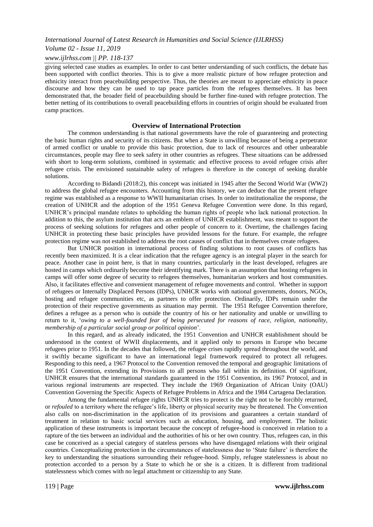*Volume 02 - Issue 11, 2019*

#### *www.ijlrhss.com || PP. 118-137*

giving selected case studies as examples. In order to cast better understanding of such conflicts, the debate has been supported with conflict theories. This is to give a more realistic picture of how refugee protection and ethnicity interact from peacebuilding perspective. Thus, the theories are meant to appreciate ethnicity in peace discourse and how they can be used to tap peace particles from the refugees themselves. It has been demonstrated that, the broader field of peacebuilding should be further fine-tuned with refugee protection. The better netting of its contributions to overall peacebuilding efforts in countries of origin should be evaluated from camp practices.

#### **Overview of International Protection**

The common understanding is that national governments have the role of guaranteeing and protecting the basic human rights and security of its citizens. But when a State is unwilling because of being a perpetrator of armed conflict or unable to provide this basic protection, due to lack of resources and other unbearable circumstances, people may flee to seek safety in other countries as refugees. These situations can be addressed with short to long-term solutions, combined in systematic and effective process to avoid refugee crisis after refugee crisis. The envisioned sustainable safety of refugees is therefore in the concept of seeking durable solutions.

According to Bidandi (2018:2), this concept was initiated in 1945 after the Second World War (WW2) to address the global refugee encounters. Accounting from this history, we can deduce that the present refugee regime was established as a response to WWII humanitarian crises. In order to institutionalize the response, the creation of UNHCR and the adoption of the 1951 Geneva Refugee Convention were done. In this regard, UNHCR"s principal mandate relates to upholding the human rights of people who lack national protection. In addition to this, the asylum institution that acts an emblem of UNHCR establishment, was meant to support the process of seeking solutions for refugees and other people of concern to it. Overtime, the challenges facing UNHCR in protecting these basic principles have provided lessons for the future. For example, the refugee protection regime was not established to address the root causes of conflict that in themselves create refugees.

But UNHCR position in international process of finding solutions to root causes of conflicts has recently been maximized. It is a clear indication that the refugee agency is an integral player in the search for peace. Another case in point here, is that in many countries, particularly in the least developed, refugees are hosted in camps which ordinarily become their identifying mark. There is an assumption that hosting refugees in camps will offer some degree of security to refugees themselves, humanitarian workers and host communities. Also, it facilitates effective and convenient management of refugee movements and control. Whether in support of refugees or Internally Displaced Persons (IDPs), UNHCR works with national governments, donors, NGOs, hosting and refugee communities etc, as partners to offer protection. Ordinarily, IDPs remain under the protection of their respective governments as situation may permit. The 1951 Refugee Convention therefore, defines a refugee as a person who is outside the country of his or her nationality and unable or unwilling to return to it, "*owing to a well-founded fear of being persecuted for reasons of race, religion, nationality, membership of a particular social group or political opinion*".

In this regard, and as already indicated, the 1951 Convention and UNHCR establishment should be understood in the context of WWII displacements, and it applied only to persons in Europe who became refugees prior to 1951. In the decades that followed, the refugee crises rapidly spread throughout the world, and it swiftly became significant to have an international legal framework required to protect all refugees. Responding to this need, a 1967 Protocol to the Convention removed the temporal and geographic limitations of the 1951 Convention, extending its Provisions to all persons who fall within its definition. Of significant, UNHCR ensures that the international standards guaranteed in the 1951 Convention, its 1967 Protocol, and in various regional instruments are respected. They include the 1969 Organization of African Unity (OAU) Convention Governing the Specific Aspects of Refugee Problems in Africa and the 1984 Cartagena Declaration.

Among the fundamental refugee rights UNHCR tries to protect is the right not to be forcibly returned, or *refouled* to a territory where the refugee"s life, liberty or physical security may be threatened. The Convention also calls on non-discrimination in the application of its provisions and guarantees a certain standard of treatment in relation to basic social services such as education, housing, and employment. The holistic application of these instruments is important because the concept of refugee-hood is conceived in relation to a rapture of the ties between an individual and the authorities of his or her own country. Thus, refugees can, in this case be conceived as a special category of stateless persons who have disengaged relations with their original countries. Conceptualizing protection in the circumstances of statelessness due to "State failure" is therefore the key to understanding the situations surrounding their refugee-hood. Simply, refugee statelessness is about no protection accorded to a person by a State to which he or she is a citizen. It is different from traditional statelessness which comes with no legal attachment or citizenship to any State.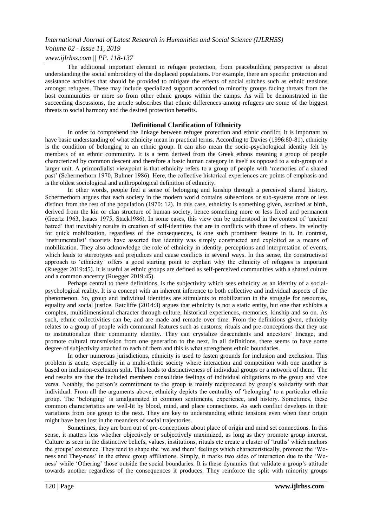## *Volume 02 - Issue 11, 2019*

## *www.ijlrhss.com || PP. 118-137*

The additional important element in refugee protection, from peacebuilding perspective is about understanding the social embroidery of the displaced populations. For example, there are specific protection and assistance activities that should be provided to mitigate the effects of social stitches such as ethnic tensions amongst refugees. These may include specialized support accorded to minority groups facing threats from the host communities or more so from other ethnic groups within the camps. As will be demonstrated in the succeeding discussions, the article subscribes that ethnic differences among refugees are some of the biggest threats to social harmony and the desired protection benefits.

#### **Definitional Clarification of Ethnicity**

In order to comprehend the linkage between refugee protection and ethnic conflict, it is important to have basic understanding of what ethnicity mean in practical terms. According to Davies (1996:80-81), ethnicity is the condition of belonging to an ethnic group. It can also mean the socio-psychological identity felt by members of an ethnic community. It is a term derived from the Greek ethnos meaning a group of people characterized by common descent and therefore a basic human category in itself as opposed to a sub-group of a larger unit. A primordialist viewpoint is that ethnicity refers to a group of people with "memories of a shared past" (Schermerhorn 1970, Bulmer 1986). Here, the collective historical experiences are points of emphasis and is the oldest sociological and anthropological definition of ethnicity.

In other words, people feel a sense of belonging and kinship through a perceived shared history. Schermerhorn argues that each society in the modern world contains subsections or sub-systems more or less distinct from the rest of the population (1970: 12). In this case, ethnicity is something given, ascribed at birth, derived from the kin or clan structure of human society, hence something more or less fixed and permanent (Geertz 1963, Isaacs 1975, Stack1986). In some cases, this view can be understood in the context of "ancient hatred" that inevitably results in creation of self-identities that are in conflicts with those of others. Its velocity for quick mobilization, regardless of the consequences, is one such prominent feature in it. In contrast, "instrumentalist" theorists have asserted that identity was simply constructed and exploited as a means of mobilization. They also acknowledge the role of ethnicity in identity, perceptions and interpretation of events, which leads to stereotypes and prejudices and cause conflicts in several ways. In this sense, the constructivist approach to "ethnicity" offers a good starting point to explain why the ethnicity of refugees is important (Ruegger 2019:45). It is useful as ethnic groups are defined as self-perceived communities with a shared culture and a common ancestry (Ruegger 2019:45).

Perhaps central to these definitions, is the subjectivity which sees ethnicity as an identity of a socialpsychological reality. It is a concept with an inherent inference to both collective and individual aspects of the phenomenon. So, group and individual identities are stimulants to mobilization in the struggle for resources, equality and social justice. Ratcliffe (2014:3) argues that ethnicity is not a static entity, but one that exhibits a complex, multidimensional character through culture, historical experiences, memories, kinship and so on. As such, ethnic collectivities can be, and are made and remade over time. From the definitions given, ethnicity relates to a group of people with communal features such as customs, rituals and pre-conceptions that they use to institutionalize their community identity. They can crystalize descendants and ancestors" lineage, and promote cultural transmission from one generation to the next. In all definitions, there seems to have some degree of subjectivity attached to each of them and this is what strengthens ethnic boundaries.

In other numerous jurisdictions, ethnicity is used to fasten grounds for inclusion and exclusion. This problem is acute, especially in a multi-ethnic society where interaction and competition with one another is based on inclusion-exclusion split. This leads to distinctiveness of individual groups or a network of them. The end results are that the included members consolidate feelings of individual obligations to the group and vice versa. Notably, the person"s commitment to the group is mainly reciprocated by group"s solidarity with that individual. From all the arguments above, ethnicity depicts the centrality of "belonging" to a particular ethnic group. The "belonging" is amalgamated in common sentiments, experience, and history. Sometimes, these common characteristics are well-lit by blood, mind, and place connections. As such conflict develops in their variations from one group to the next. They are key to understanding ethnic tensions even when their origin might have been lost in the meanders of social trajectories.

Sometimes, they are born out of pre-conceptions about place of origin and mind set connections. In this sense, it matters less whether objectively or subjectively maximized, as long as they promote group interest. Culture as seen in the distinctive beliefs, values, institutions, rituals etc create a cluster of "truths" which anchors the groups" existence. They tend to shape the "we and them" feelings which characteristically, promote the "Weness and They-ness" in the ethnic group affiliations. Simply, it marks two sides of interaction due to the "Weness" while "Othering" those outside the social boundaries. It is these dynamics that validate a group"s attitude towards another regardless of the consequences it produces. They reinforce the split with minority groups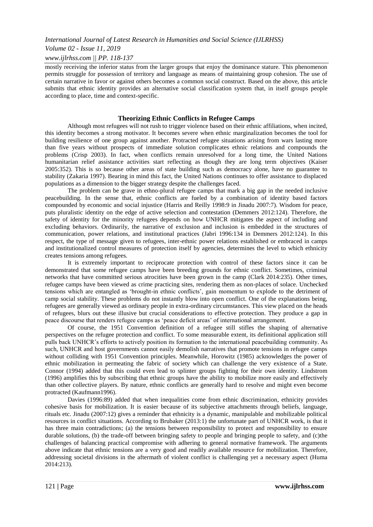*Volume 02 - Issue 11, 2019*

### *www.ijlrhss.com || PP. 118-137*

mostly receiving the inferior status from the larger groups that enjoy the dominance stature. This phenomenon permits struggle for possession of territory and language as means of maintaining group cohesion. The use of certain narrative in favor or against others becomes a common social construct. Based on the above, this article submits that [ethnic identity](https://www.sciencedirect.com/topics/social-sciences/cultural-identity) provides an alternative social classification system that, in itself groups people according to place, time and context-specific.

## **Theorizing Ethnic Conflicts in Refugee Camps**

Although most refugees will not rush to trigger violence based on their ethnic affiliations, when incited, this identity becomes a strong motivator. It becomes severe when ethnic marginalization becomes the tool for building resilience of one group against another. Protracted refugee situations arising from wars lasting more than five years without prospects of immediate solution complicates ethnic relations and compounds the problems (Crisp 2003). In fact, when conflicts remain unresolved for a long time, the United Nations humanitarian relief assistance activities start reflecting as though they are long term objectives (Kaiser 2005:352). This is so because other areas of state building such as democracy alone, have no guarantee to stability (Zakaria 1997). Bearing in mind this fact, the United Nations continues to offer assistance to displaced populations as a dimension to the bigger strategy despite the challenges faced.

The problem can be grave in ethno-plural refugee camps that mark a big gap in the needed inclusive peacebuilding. In the sense that, ethnic conflicts are fueled by a combination of identity based factors compounded by economic and social injustice (Harris and Reilly 1998:9 in Jinadu 2007:7). Wisdom for peace, puts pluralistic identity on the edge of active selection and contestation (Demmers 2012:124). Therefore, the safety of identity for the minority refugees depends on how UNHCR mitigates the aspect of including and excluding behaviors. Ordinarily, the narrative of exclusion and inclusion is embedded in the structures of communication, power relations, and institutional practices (Jabri 1996:134 in Demmers 2012:124). In this respect, the type of message given to refugees, inter-ethnic power relations established or embraced in camps and institutionalized control measures of protection itself by agencies, determines the level to which ethnicity creates tensions among refugees.

It is extremely important to reciprocate protection with control of these factors since it can be demonstrated that some refugee camps have been breeding grounds for ethnic conflict. Sometimes, criminal networks that have committed serious atrocities have been grown in the camp (Clark 2014:235). Other times, refugee camps have been viewed as crime practicing sites, rendering them as non-places of solace. Unchecked tensions which are entangled as "brought-in ethnic conflicts", gain momentum to explode to the detriment of camp social stability. These problems do not instantly blow into open conflict. One of the explanations being, refugees are generally viewed as ordinary people in extra-ordinary circumstances. This view placed on the heads of refugees, blurs out these illusive but crucial considerations to effective protection. They produce a gap in peace discourse that renders refugee camps as "peace deficit areas" of international arrangement.

Of course, the 1951 Convention definition of a refugee still stifles the shaping of alternative perspectives on the refugee protection and conflict. To some measurable extent, its definitional application still pulls back UNHCR"s efforts to actively position its formation to the international peacebuilding community. As such, UNHCR and host governments cannot easily demolish narratives that promote tensions in refugee camps without colliding with 1951 Convention principles. Meanwhile, Horowitz (1985) acknowledges the power of ethnic mobilization in permeating the fabric of society which can challenge the very existence of a State. Connor (1994) added that this could even lead to splinter groups fighting for their own identity. Lindstrom (1996) amplifies this by subscribing that ethnic groups have the ability to mobilize more easily and effectively than other collective players. By nature, ethnic conflicts are generally hard to resolve and might even become protracted (Kaufmann1996).

Davies (1996:89) added that when inequalities come from ethnic discrimination, ethnicity provides cohesive basis for mobilization. It is easier because of its subjective attachments through beliefs, language, rituals etc. Jinadu (2007:12) gives a reminder that ethnicity is a dynamic, manipulable and mobilizable political resources in conflict situations. According to Brubaker (2013:1) the unfortunate part of UNHCR work, is that it has three main contradictions; (a) the tensions between responsibility to protect and responsibility to ensure durable solutions, (b) the trade-off between bringing safety to people and bringing people to safety, and (c)the challenges of balancing practical compromise with adhering to general normative framework. The arguments above indicate that ethnic tensions are a very good and readily available resource for mobilization. Therefore, addressing societal divisions in the aftermath of violent conflict is challenging yet a necessary aspect (Huma 2014:213).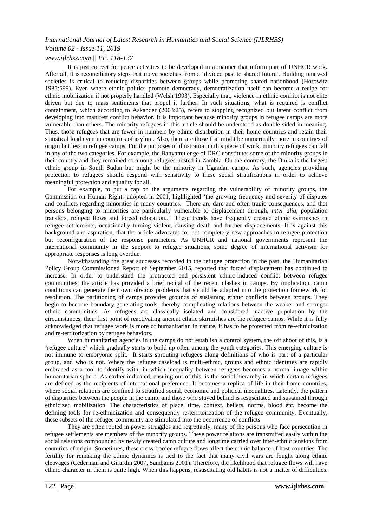# *Volume 02 - Issue 11, 2019 www.ijlrhss.com || PP. 118-137*

It is just correct for peace activities to be developed in a manner that inform part of UNHCR work. After all, it is reconciliatory steps that move societies from a "divided past to shared future". Building renewed societies is critical to reducing disparities between groups while promoting shared nationhood (Horowitz 1985:599). Even where ethnic politics promote democracy, democratization itself can become a recipe for ethnic mobilization if not properly handled (Welsh 1993). Especially that, violence in ethnic conflict is not elite driven but due to mass sentiments that propel it further. In such situations, what is required is conflict containment, which according to Askander (2003:25), refers to stopping recognized but latent conflict from developing into manifest conflict behavior. It is important because minority groups in refugee camps are more vulnerable than others. The minority refugees in this article should be understood as double sided in meaning. Thus, those refugees that are fewer in numbers by ethnic distribution in their home countries and retain their statistical load even in countries of asylum. Also, there are those that might be numerically more in countries of origin but less in refugee camps. For the purposes of illustration in this piece of work, minority refugees can fall in any of the two categories. For example, the Banyamulenge of DRC constitutes some of the minority groups in their country and they remained so among refugees hosted in Zambia. On the contrary, the Dinka is the largest ethnic group in South Sudan but might be the minority in Ugandan camps. As such, agencies providing protection to refugees should respond with sensitivity to these social stratifications in order to achieve meaningful protection and equality for all.

For example, to put a cap on the arguments regarding the vulnerability of minority groups, the Commission on Human Rights adopted in 2001, highlighted "the growing frequency and severity of disputes and conflicts regarding minorities in many countries. There are dare and often tragic consequences, and that persons belonging to minorities are particularly vulnerable to displacement through, *inter alia*, population transfers, refugee flows and forced relocation..." These trends have frequently created ethnic skirmishes in refugee settlements, occasionally turning violent, causing death and further displacements. It is against this background and aspiration, that the article advocates for not completely new approaches to refugee protection but reconfiguration of the response parameters. As UNHCR and national governments represent the international community in the support to refugee situations, some degree of international activism for appropriate responses is long overdue.

Notwithstanding the great successes recorded in the refugee protection in the past, the Humanitarian Policy Group Commissioned Report of September 2015, reported that forced displacement has continued to increase. In order to understand the protracted and persistent ethnic-induced conflict between refugee communities, the article has provided a brief recital of the recent clashes in camps. By implication, camp conditions can generate their own obvious problems that should be adapted into the protection framework for resolution. The partitioning of camps provides grounds of sustaining ethnic conflicts between groups. They begin to become boundary-generating tools, thereby complicating relations between the weaker and stronger ethnic communities. As refugees are classically isolated and considered inactive population by the circumstances, their first point of reactivating ancient ethnic skirmishes are the refugee camps. While it is fully acknowledged that refugee work is more of humanitarian in nature, it has to be protected from re-ethnicization and re-territorization by refugee behaviors.

When humanitarian agencies in the camps do not establish a control system, the off shoot of this, is a "refugee culture" which gradually starts to build up often among the youth categories. This emerging culture is not immune to embryonic split. It starts sprouting refugees along definitions of who is part of a particular group, and who is not. Where the refugee caseload is multi-ethnic, groups and ethnic identities are rapidly embraced as a tool to identify with, in which inequality between refugees becomes a normal image within humanitarian sphere. As earlier indicated, ensuing out of this, is the social hierarchy in which certain refugees are defined as the recipients of international preference. It becomes a replica of life in their home countries, where social relations are confined to stratified social, economic and political inequalities. Latently, the pattern of disparities between the people in the camp, and those who stayed behind is resuscitated and sustained through ethnicized mobilization. The characteristics of place, time, context, beliefs, norms, blood etc, become the defining tools for re-ethnicization and consequently re-territorization of the refugee community. Eventually, these subsets of the refugee community are stimulated into the occurrence of conflicts.

They are often rooted in power struggles and regrettably, many of the persons who face persecution in refugee settlements are members of the minority groups. These power relations are transmitted easily within the social relations compounded by newly created camp culture and longtime carried over inter-ethnic tensions from countries of origin. Sometimes, these cross-border refugee flows affect the ethnic balance of host countries. The fertility for remaking the ethnic dynamics is tied to the fact that many civil wars are fought along ethnic cleavages (Cederman and Girardin 2007, Sambanis 2001). Therefore, the likelihood that refugee flows will have ethnic character in them is quite high. When this happens, resuscitating old habits is not a matter of difficulties.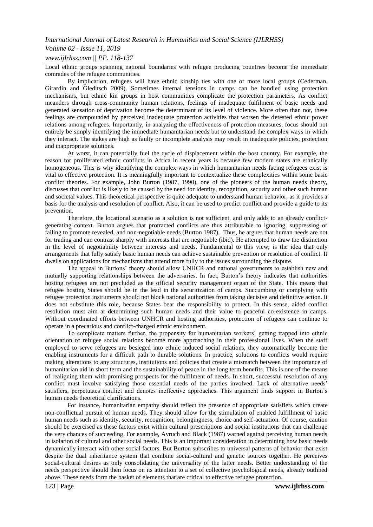#### *Volume 02 - Issue 11, 2019*

#### *www.ijlrhss.com || PP. 118-137*

Local ethnic groups spanning national boundaries with refugee producing countries become the immediate comrades of the refugee communities.

By implication, refugees will have ethnic kinship ties with one or more local groups (Cederman, Girardin and Gleditsch 2009). Sometimes internal tensions in camps can be handled using protection mechanisms, but ethnic kin groups in host communities complicate the protection parameters. As conflict meanders through cross-community human relations, feelings of inadequate fulfilment of basic needs and generated sensation of deprivation become the determinant of its level of violence. More often than not, these feelings are compounded by perceived inadequate protection activities that worsen the detested ethnic power relations among refugees. Importantly, in analyzing the effectiveness of protection measures, focus should not entirely be simply identifying the immediate humanitarian needs but to understand the complex ways in which they interact. The stakes are high as faulty or incomplete analysis may result in inadequate policies, protection and inappropriate solutions.

At worst, it can potentially fuel the cycle of displacement within the host country. For example, the reason for proliferated ethnic conflicts in Africa in recent years is because few modern states are ethnically homogeneous. This is why identifying the complex ways in which humanitarian needs facing refugees exist is vital to effective protection. It is meaningfully important to contextualize these complexities within some basic conflict theories. For example, John Burton (1987, 1990), one of the pioneers of the human needs theory, discusses that conflict is likely to be caused by the need for identity, recognition, security and other such human and societal values. This theoretical perspective is quite adequate to understand human behavior, as it provides a basis for the analysis and resolution of conflict. Also, it can be used to predict conflict and provide a guide to its prevention.

Therefore, the locational scenario as a solution is not sufficient, and only adds to an already conflictgenerating context. Burton argues that protracted conflicts are thus attributable to ignoring, suppressing or failing to promote revealed, and non-negotiable needs (Burton 1987). Thus, he argues that human needs are not for trading and can contrast sharply with interests that are negotiable (ibid). He attempted to draw the distinction in the level of negotiability between interests and needs. Fundamental to this view, is the idea that only arrangements that fully satisfy basic human needs can achieve sustainable prevention or resolution of conflict. It dwells on applications for mechanisms that attend more fully to the issues surrounding the dispute.

The appeal in Burtons" theory should allow UNHCR and national governments to establish new and mutually supporting relationships between the adversaries. In fact, Burton"s theory indicates that authorities hosting refugees are not precluded as the official security management organ of the State. This means that refugee hosting States should be in the lead in the securitization of camps. Succumbing or complying with refugee protection instruments should not block national authorities from taking decisive and definitive action. It does not substitute this role, because States bear the responsibility to protect. In this sense, aided conflict resolution must aim at determining such human needs and their value to peaceful co-existence in camps. Without coordinated efforts between UNHCR and hosting authorities, protection of refugees can continue to operate in a precarious and conflict-charged ethnic environment.

To complicate matters further, the propensity for humanitarian workers" getting trapped into ethnic orientation of refugee social relations become more approaching in their professional lives. When the staff employed to serve refugees are besieged into ethnic induced social relations, they automatically become the enabling instruments for a difficult path to durable solutions. In practice, solutions to conflicts would require making alterations to any structures, institutions and policies that create a mismatch between the importance of humanitarian aid in short term and the sustainability of peace in the long term benefits. This is one of the means of realigning them with promising prospects for the fulfilment of needs*.* In short, successful resolution of any conflict must involve satisfying those essential needs of the parties involved. Lack of alternative needs' satisfiers, perpetuates conflict and denotes ineffective approaches. This argument finds support in Burton"s human needs theoretical clarifications.

For instance, humanitarian empathy should reflect the presence of appropriate satisfiers which create non-conflictual pursuit of human needs. They should allow for the stimulation of enabled fulfillment of basic human needs such as identity, security, recognition, belongingness, choice and self-actuation. Of course, caution should be exercised as these factors exist within cultural prescriptions and social institutions that can challenge the very chances of succeeding. For example, Avruch and Black (1987) warned against perceiving human needs in isolation of cultural and other social needs. This is an important consideration in determining how basic needs dynamically interact with other social factors. But Burton subscribes to universal patterns of behavior that exist despite the dual inheritance system that combine social-cultural and genetic sources together. He perceives social-cultural desires as only consolidating the universality of the latter needs. Better understanding of the needs perspective should then focus on its attention to a set of collective psychological needs, already outlined above. These needs form the basket of elements that are critical to effective refugee protection.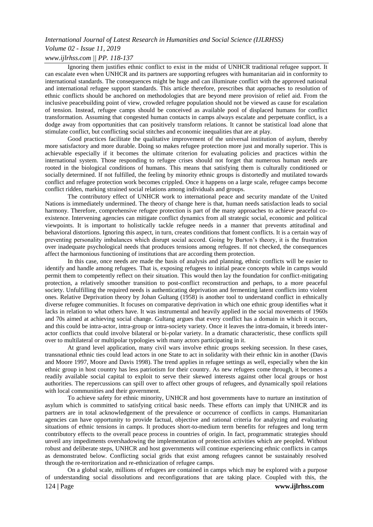# *Volume 02 - Issue 11, 2019*

# *www.ijlrhss.com || PP. 118-137*

Ignoring them justifies ethnic conflict to exist in the midst of UNHCR traditional refugee support. It can escalate even when UNHCR and its partners are supporting refugees with humanitarian aid in conformity to international standards. The consequences might be huge and can illuminate conflict with the approved national and international refugee support standards. This article therefore, prescribes that approaches to resolution of ethnic conflicts should be anchored on methodologies that are beyond mere provision of relief aid. From the inclusive peacebuilding point of view, crowded refugee population should not be viewed as cause for escalation of tension. Instead, refugee camps should be conceived as available pool of displaced humans for conflict transformation. Assuming that congested human contacts in camps always escalate and perpetuate conflict, is a dodge away from opportunities that can positively transform relations. It cannot be statistical load alone that stimulate conflict, but conflicting social stitches and economic inequalities that are at play.

Good practices facilitate the qualitative improvement of the universal institution of asylum, thereby more satisfactory and more durable. Doing so makes refugee protection more just and morally superior. This is achievable especially if it becomes the ultimate criterion for evaluating policies and practices within the international system. Those responding to refugee crises should not forget that numerous human needs are rooted in the biological conditions of humans. This means that satisfying them is culturally conditioned or socially determined. If not fulfilled, the feeling by minority ethnic groups is distortedly and mutilated towards conflict and refugee protection work becomes crippled. Once it happens on a large scale, refugee camps become conflict ridden, marking strained social relations among individuals and groups.

The contributory effect of UNHCR work to international peace and security mandate of the United Nations is immediately undermined. The theory of change here is that, human needs satisfaction leads to social harmony. Therefore, comprehensive refugee protection is part of the many approaches to achieve peaceful coexistence. Intervening agencies can mitigate conflict dynamics from all strategic social, economic and political viewpoints. It is important to holistically tackle refugee needs in a manner that prevents attitudinal and behavioral distortions. Ignoring this aspect, in turn, creates conditions that foment conflicts. It is a certain way of preventing personality imbalances which disrupt social accord. Going by Burton"s theory, it is the frustration over inadequate psychological needs that produces tensions among refugees. If not checked, the consequences affect the harmonious functioning of institutions that are according them protection.

In this case, once needs are made the basis of analysis and planning, ethnic conflicts will be easier to identify and handle among refugees. That is, exposing refugees to initial peace concepts while in camps would permit them to competently reflect on their situation. This would then lay the foundation for conflict-mitigating protection, a relatively smoother transition to post-conflict reconstruction and perhaps, to a more peaceful society. Unfulfilling the required needs is authenticating deprivation and fermenting latent conflicts into violent ones. Relative Deprivation theory by Johan Gultang (1958) is another tool to understand conflict in ethnically diverse refugee communities. It focuses on comparative deprivation in which one ethnic group identifies what it lacks in relation to what others have. It was instrumental and heavily applied in the social movements of 1960s and 70s aimed at achieving social change. Gultang argues that every conflict has a domain in which it occurs, and this could be intra-actor, intra-group or intra-society variety. Once it leaves the intra-domain, it breeds interactor conflicts that could involve bilateral or bi-polar variety. In a dramatic characteristic, these conflicts spill over to multilateral or multipolar typologies with many actors participating in it.

At grand level application, many civil wars involve ethnic groups seeking secession. In these cases, transnational ethnic ties could lead actors in one State to act in solidarity with their ethnic kin in another (Davis and Moore 1997, Moore and Davis 1998). The trend applies in refugee settings as well, especially when the kin ethnic group in host country has less patriotism for their country. As new refugees come through, it becomes a readily available social capital to exploit to serve their skewed interests against other local groups or host authorities. The repercussions can spill over to affect other groups of refugees, and dynamically spoil relations with local communities and their government.

To achieve safety for ethnic minority, UNHCR and host governments have to nurture an institution of asylum which is committed to satisfying critical basic needs. These efforts can imply that UNHCR and its partners are in total acknowledgement of the prevalence or occurrence of conflicts in camps. Humanitarian agencies can have opportunity to provide factual, objective and rational criteria for analyzing and evaluating situations of ethnic tensions in camps. It produces short-to-medium term benefits for refugees and long term contributory effects to the overall peace process in countries of origin. In fact, programmatic strategies should unveil any impediments overshadowing the implementation of protection activities which are peopled. Without robust and deliberate steps, UNHCR and host governments will continue experiencing ethnic conflicts in camps as demonstrated below. Conflicting social grids that exist among refugees cannot be sustainably resolved through the re-territorization and re-ethnicization of refugee camps.

On a global scale, millions of refugees are contained in camps which may be explored with a purpose of understanding social dissolutions and reconfigurations that are taking place. Coupled with this, the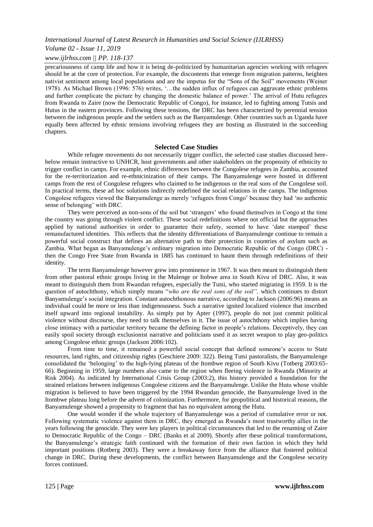*Volume 02 - Issue 11, 2019*

## *www.ijlrhss.com || PP. 118-137*

precariousness of camp life and how it is being de-politicized by humanitarian agencies working with refugees should be at the core of protection. For example, the discontents that emerge from migration patterns, heighten nativist sentiment among local populations and are the impetus for the "Sons of the Soil" movements (Weiner 1978). As Michael Brown (1996: 576) writes, '...the sudden influx of refugees can aggravate ethnic problems and further complicate the picture by changing the domestic balance of power." The arrival of Hutu refugees from Rwanda to Zaire (now the Democratic Republic of Congo), for instance, led to fighting among Tutsis and Hutus in the eastern provinces. Following these tensions, the DRC has been characterized by perennial tension between the indigenous people and the settlers such as the Banyamulenge. Other countries such as Uganda have equally been affected by ethnic tensions involving refugees they are hosting as illustrated in the succeeding chapters.

#### **Selected Case Studies**

While refugee movements do not necessarily trigger conflict, the selected case studies discussed herebelow remain instructive to UNHCR, host governments and other stakeholders on the propensity of ethnicity to trigger conflict in camps. For example, ethnic differences between the Congolese refugees in Zambia, accounted for the re-territorization and re-ethnicinization of their camps. The Banyamulenge were hosted in different camps from the rest of Congolese refugees who claimed to be indigenous or the real sons of the Congolese soil. In practical terms, these ad hoc solutions indirectly redefined the social relations in the camps. The indigenous Congolese refugees viewed the Banyamulenge as merely "refugees from Congo" because they had "no authentic sense of belonging" with DRC.

They were perceived as non-sons of the soil but "strangers" who found themselves in Congo at the time the country was going through violent conflict. These social redefinitions where not official but the approaches applied by national authorities in order to guarantee their safety, seemed to have "date stamped" these remanufactured identities. This reflects that the identity differentiations of Banyamulenge continue to remain a powerful social construct that defines an alternative path to their protection in countries of asylum such as Zambia. What began as Banyamulenge"s ordinary migration into Democratic Republic of the Congo (DRC) then the Congo Free State from Rwanda in 1885 has continued to haunt them through redefinitions of their identity.

The term Banyamulenge however grew into prominence in 1967. It was then meant to distinguish them from other pastoral ethnic groups living in the Mulenge or Itobwe area in South Kivu of DRC. Also, it was meant to distinguish them from Rwandan refugees, especially the Tutsi, who started migrating in 1959. It is the question of autochthony, which simply means "*who are the real sons of the soil",* which continues to distort Banyamulenge"s social integration. Constant autochthonous narrative, according to Jackson (2006:96) means an individual could be more or less than indigenousness. Such a narrative ignited localized violence that inscribed itself upward into regional instability. As simply put by Apter (1997), people do not just commit political violence without discourse, they need to talk themselves in it. The issue of autochthony which implies having close intimacy with a particular territory became the defining factor in people"s relations. Deceptively, they can easily spoil society through exclusionist narrative and politicians used it as secret weapon to play geo-politics among Congolese ethnic groups (Jackson 2006:102).

From time to time, it remained a powerful social concept that defined someone's access to State resources, land rights, and citizenship rights (Geschiere 2009: 322). Being Tutsi pastoralists, the Banyamulenge consolidated the "belonging" to the high-lying plateau of the Itombwe region of South Kivu (Totberg 2003:65- 66). Beginning in 1959, large numbers also came to the region when fleeing violence in Rwanda (Minority at Risk 2004). As indicated by International Crisis Group (2003:2), this history provided a foundation for the strained relations between indigenous Congolese citizens and the Banyamulenge. Unlike the Hutu whose visible migration is believed to have been triggered by the 1994 Rwandan genocide, the Banyamulenge lived in the Itombwe plateau long before the advent of colonization. Furthermore, for geopolitical and historical reasons, the Banyamulenge showed a propensity to fragment that has no equivalent among the Hutu.

One would wonder if the whole trajectory of Banyamulenge was a period of cumulative error or not. Following systematic violence against them in DRC, they emerged as Rwanda's most trustworthy allies in the years following the genocide. They were key players in political circumstances that led to the renaming of Zaire to Democratic Republic of the Congo – DRC (Banks et al 2009). Shortly after these political transformations, the Banyamulenge"s strategic faith continued with the formation of their own faction in which they held important positions (Rotberg 2003). They were a breakaway force from the alliance that fostered political change in DRC. During these developments, the conflict between Banyamulenge and the Congolese security forces continued.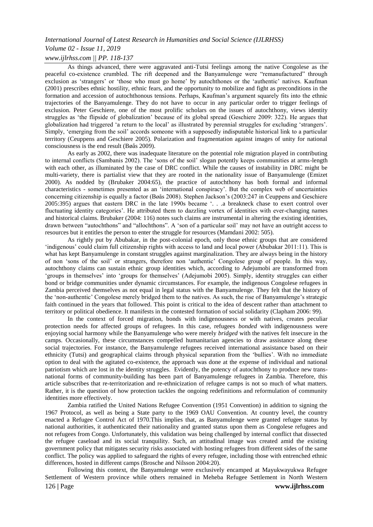# *Volume 02 - Issue 11, 2019 www.ijlrhss.com || PP. 118-137*

As things advanced, there were aggravated anti-Tutsi feelings among the native Congolese as the peaceful co-existence crumbled. The rift deepened and the Banyamulenge were "remanufactured" through exclusion as 'strangers' or 'those who must go home' by autochthones or the 'authentic' natives. Kaufman (2001) prescribes ethnic hostility, ethnic fears, and the opportunity to mobilize and fight as preconditions in the formation and accession of autochthonous tensions. Perhaps, Kaufman"s argument squarely fits into the ethnic trajectories of the Banyamulenge. They do not have to occur in any particular order to trigger feelings of exclusion. Peter Geschiere, one of the most prolific scholars on the issues of autochthony, views identity struggles as "the flipside of globalization" because of its global spread (Geschiere 2009: 322). He argues that globalization had triggered "a return to the local" as illustrated by perennial struggles for excluding "strangers". Simply, "emerging from the soil" accords someone with a supposedly indisputable historical link to a particular territory (Ceuppens and Geschiere 2005). Polarization and fragmentation against images of unity for national consciousness is the end result (Bøås 2009).

As early as 2002, there was inadequate literature on the potential role migration played in contributing to internal conflicts (Sambanis 2002). The "sons of the soil" slogan potently keeps communities at arms-length with each other, as illuminated by the case of DRC conflict. While the causes of instability in DRC might be multi-variety, there is partialist view that they are rooted in the nationality issue of Banyamulenge (Emizet 2000). As nodded by (Brubaker 2004:65), the practice of autochthony has both formal and informal characteristics - sometimes presented as an "international conspiracy". But the complex web of uncertainties concerning citizenship is equally a factor (Bøås 2008). Stephen Jackson"s (2003:247 in Ceuppens and Geschiere 2005:395) argues that eastern DRC in the late 1990s became "*. . .*a breakneck chase to exert control over fluctuating identity categories". He attributed them to dazzling vortex of identities with ever-changing names and historical claims. Brubaker (2004: 116) notes such claims are instrumental in altering the existing identities, drawn between "autochthons" and "allochthons". A "son of a particular soil" may not have an outright access to resources but it entitles the person to enter the struggle for resources (Mamdani 2002: 505).

As rightly put by Abubakar, in the post-colonial epoch, only those ethnic groups that are considered 'indigenous' could claim full citizenship rights with access to land and local power (Abubakar 2011:11). This is what has kept Banyamulenge in constant struggles against marginalization. They are always being in the history of non "sons of the soil" or strangers, therefore non "authentic" Congolese group of people. In this way, autochthony claims can sustain ethnic group identities which, according to Adejumobi are transformed from 'groups in themselves' into 'groups for themselves' (Adejumobi 2005). Simply, identity struggles can either bond or bridge communities under dynamic circumstances. For example, the indigenous Congolese refugees in Zambia perceived themselves as not equal in legal status with the Banyamulenge. They felt that the history of the "non-authentic" Congolese merely bridged them to the natives. As such, the rise of Banyamulenge"s strategic faith continued in the years that followed. This point is critical to the idea of descent rather than attachment to territory or political obedience. It manifests in the contested formation of social solidarity (Clapham 2006: 99).

In the context of forced migration, bonds with indigenousness or with natives, creates peculiar protection needs for affected groups of refugees. In this case, refugees *bonded* with indigenousness were enjoying social harmony while the Banyamulenge who were merely *bridged* with the natives felt insecure in the camps. Occasionally, these circumstances compelled humanitarian agencies to draw assistance along these social trajectories. For instance, the Banyamulenge refugees received international assistance based on their ethnicity (Tutsi) and geographical claims through physical separation from the "bullies". With no immediate option to deal with the agitated co-existence, the approach was done at the expense of individual and national patriotism which are lost in the identity struggles. Evidently, the potency of autochthony to produce new transnational forms of community-building has been part of Banyamulenge refugees in Zambia. Therefore, this article subscribes that re-territorization and re-ethnicization of refugee camps is not so much of what matters. Rather, it is the question of how protection tackles the ongoing redefinitions and reformulation of community identities more effectively.

Zambia ratified the United Nations Refugee Convention (1951 Convention) in addition to signing the 1967 Protocol, as well as being a State party to the 1969 OAU Convention. At country level, the country enacted a Refugee Control Act of 1970.This implies that, as Banyamulenge were granted refugee status by national authorities, it authenticated their nationality and granted status upon them as Congolese refugees and not refugees from Congo. Unfortunately, this validation was being challenged by internal conflict that dissected the refugee caseload and its social tranquility. Such, an attitudinal image was created amid the existing government policy that mitigates security risks associated with hosting refugees from different sides of the same conflict. The policy was applied to safeguard the rights of every refugee, including those with entrenched ethnic differences, hosted in different camps (Brosche and Nilsson 2004:20).

Following this context, the Banyamulenge were exclusively encamped at Mayukwayukwa Refugee Settlement of Western province while others remained in Meheba Refugee Settlement in North Western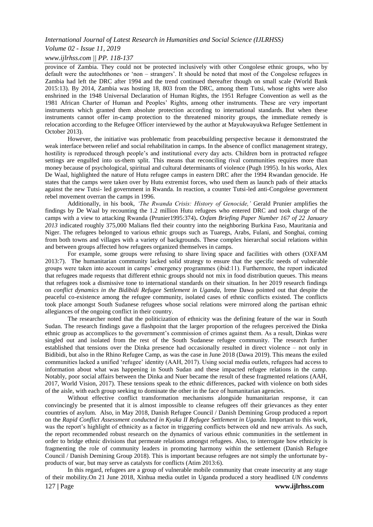#### *Volume 02 - Issue 11, 2019*

#### *www.ijlrhss.com || PP. 118-137*

province of Zambia. They could not be protected inclusively with other Congolese ethnic groups, who by default were the autochthones or "non – strangers". It should be noted that most of the Congolese refugees in Zambia had left the DRC after 1994 and the trend continued thereafter though on small scale (World Bank 2015:13). By 2014, Zambia was hosting 18, 803 from the DRC, among them Tutsi, whose rights were also enshrined in the 1948 Universal Declaration of Human Rights, the 1951 Refugee Convention as well as the 1981 African Charter of Human and Peoples" Rights, among other instruments. These are very important instruments which granted them absolute protection according to international standards. But when these instruments cannot offer in-camp protection to the threatened minority groups, the immediate remedy is relocation according to the Refugee Officer interviewed by the author at Mayukwayukwa Refugee Settlement in October 2013).

However, the initiative was problematic from peacebuilding perspective because it demonstrated the weak interface between relief and social rehabilitation in camps. In the absence of conflict management strategy, hostility is reproduced through people"s and institutional every day acts. Children born in protracted refugee settings are engulfed into us-them split. This means that reconciling rival communities requires more than money because of psychological, spiritual and cultural determinants of violence (Pugh 1995). In his works, Alex De Waal, highlighted the nature of Hutu refugee camps in eastern DRC after the 1994 Rwandan genocide. He states that the camps were taken over by Hutu extremist forces, who used them as launch pads of their attacks against the new Tutsi- led government in Rwanda. In reaction, a counter Tutsi-led anti-Congolese government rebel movement overran the camps in 1996.

Additionally, in his book, *"The Rwanda Crisis: History of Genocide,"* Gerald Prunier amplifies the findings by De Waal by recounting the 1.2 million Hutu refugees who entered DRC and took charge of the camps with a view to attacking Rwanda (Prunier1995:374)**.** *Oxfam Briefing Paper Number 167 of 22 January 2013* indicated roughly 375,000 Malians fled their country into the neighboring Burkina Faso, Mauritania and Niger. The refugees belonged to various ethnic groups such as Tuaregs, Arabs, Fulani, and Songhai, coming from both towns and villages with a variety of backgrounds. These complex hierarchal social relations within and between groups affected how refugees organized themselves in camps.

For example, some groups were refusing to share living space and facilities with others (OXFAM 2013:7). The humanitarian community lacked solid strategy to ensure that the specific needs of vulnerable groups were taken into account in camps" emergency programmes (ibid:11). Furthermore, the report indicated that refugees made requests that different ethnic groups should not mix in food distribution queues. This means that refugees took a dismissive tone to international standards on their situation. In her 2019 research findings on *conflict dynamics in the Bidibidi Refugee Settlement in Uganda,* Irene Dawa pointed out that despite the peaceful co-existence among the refugee community, isolated cases of ethnic conflicts existed. The conflicts took place amongst South Sudanese refugees whose social relations were mirrored along the partisan ethnic allegiances of the ongoing conflict in their country.

The researcher noted that the politicization of ethnicity was the defining feature of the war in South Sudan. The research findings gave a flashpoint that the larger proportion of the refugees perceived the Dinka ethnic group as accomplices to the government"s commission of crimes against them. As a result, Dinkas were singled out and isolated from the rest of the South Sudanese refugee community. The research further established that tensions over the Dinka presence had occasionally resulted in direct violence – not only in Bidibidi, but also in the Rhino Refugee Camp, as was the case in June 2018 (Dawa 2019). This means the exiled communities lacked a unified "refugee" identity (AAH, 2017). Using social media outlets, refugees had access to information about what was happening in South Sudan and these impacted refugee relations in the camp. Notably, poor social affairs between the Dinka and Nuer became the result of these fragmented relations (AAH, 2017, World Vision, 2017). These tensions speak to the ethnic differences, packed with violence on both sides of the aisle, with each group seeking to dominate the other in the face of humanitarian agencies.

Without effective conflict transformation mechanisms alongside humanitarian response, it can convincingly be presented that it is almost impossible to cleanse refugees off their grievances as they enter countries of asylum. Also, in May 2018, Danish Refugee Council / Danish Demining Group produced a report on the *Rapid Conflict Assessment conducted in Kyaka II Refugee Settlement in Uganda.* Important to this work, was the report's highlight of ethnicity as a factor in triggering conflicts between old and new arrivals. As such, the report recommended robust research on the dynamics of various ethnic communities in the settlement in order to bridge ethnic divisions that permeate relations amongst refugees. Also, to interrogate how ethnicity is fragmenting the role of community leaders in promoting harmony within the settlement (Danish Refugee Council / Danish Demining Group 2018). This is important because refugees are not simply the unfortunate byproducts of war, but may serve as catalysts for conflicts (Atim 2013:6).

In this regard, refugees are a group of vulnerable mobile community that create insecurity at any stage of their mobility.On 21 June 2018, Xinhua media outlet in Uganda produced a story headlined *UN condemns*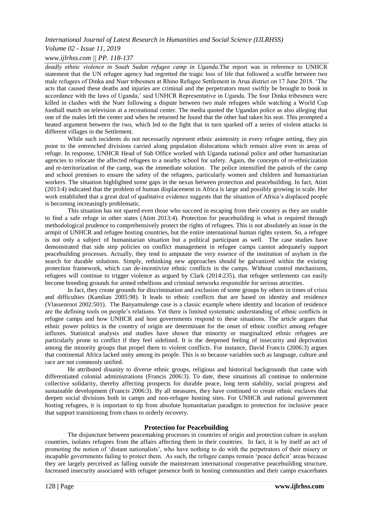# *Volume 02 - Issue 11, 2019*

# *www.ijlrhss.com || PP. 118-137*

*deadly ethnic violence in South Sudan refugee camp in Uganda.*The report was in reference to UNHCR statement that the UN refugee agency had regretted the tragic loss of life that followed a scuffle between two male refugees of Dinka and Nuer tribesmen at Rhino Refugee Settlement in Arua district on 17 June 2018. "The acts that caused these deaths and injuries are criminal and the perpetrators must swiftly be brought to book in accordance with the laws of Uganda," said UNHCR Representative in Uganda. The four Dinka tribesmen were killed in clashes with the Nuer following a dispute between two male refugees while watching a World Cup football match on television at a recreational center. The media quoted the Ugandan police as also alleging that one of the males left the center and when he returned he found that the other had taken his seat. This prompted a heated argument between the two, which led to the fight that in turn sparked off a series of violent attacks in different villages in the Settlement.

While such incidents do not necessarily represent ethnic animosity in every refugee setting, they pin point to the entrenched divisions carried along population dislocations which remain alive even in areas of refuge. In response, UNHCR Head of Sub Office worked with Uganda national police and other humanitarian agencies to relocate the affected refugees to a nearby school for safety. Again, the concepts of re-ethnicization and re-territorization of the camp, was the immediate solution. The police intensified the patrols of the camp and school premises to ensure the safety of the refugees, particularly women and children and humanitarian workers. The situation highlighted some gaps in the nexus between protection and peacebuilding. In fact, Atim (2013:4) indicated that the problem of human displacement in Africa is large and possibly growing in scale. Her work established that a great deal of qualitative evidence suggests that the situation of Africa's displaced people is becoming increasingly problematic.

This situation has not spared even those who succeed in escaping from their country as they are unable to find a safe refuge in other states (Atim 2013:4). Protection for peacebuilding is what is required through methodological prudence to comprehensively protect the rights of refugees. This is not absolutely an issue in the armpit of UNHCR and refugee hosting countries, but the entire international human rights system. So, a refugee is not only a subject of humanitarian situation but a political participant as well. The case studies have demonstrated that side step policies on conflict management in refugee camps cannot adequately support peacebuilding processes. Actually, they tend to amputate the very essence of the institution of asylum in the search for durable solutions. Simply, rethinking new approaches should be galvanized within the existing protection framework, which can de-incentivize ethnic conflicts in the camps. Without control mechanisms, refugees will continue to trigger violence as argued by Clark (2014:235), that refugee settlements can easily become breeding grounds for armed rebellions and criminal networks responsible for serious atrocities.

In fact, they create grounds for discrimination and exclusion of some groups by others in times of crisis and difficulties (Kamlian 2005:98). It leads to ethnic conflicts that are based on identity and residence (Vlassenroot 2002:501). The Banyamulenge case is a classic example where identity and location of residence are the defining tools on people"s relations. Yet there is limited systematic understanding of ethnic conflicts in refugee camps and how UNHCR and host governments respond to these situations. The article argues that ethnic power politics in the country of origin are determinant for the onset of ethnic conflict among refugee influxes. Statistical analysis and studies have shown that minority or marginalized ethnic refugees are particularly prone to conflict if they feel sidelined. It is the deepened feeling of insecurity and deprivation among the minority groups that propel them to violent conflicts. For instance, David Francis (2006:3) argues that continental Africa lacked unity among its people. This is so because variables such as language, culture and race are not commonly unified.

He attributed disunity to diverse ethnic groups, religious and historical backgrounds that came with differentiated colonial administrations (Francis 2006:3). To date, these situations all continue to undermine collective solidarity, thereby affecting prospects for durable peace, long term stability, social progress and sustainable development (Francis 2006:3). By all measures, they have continued to create ethnic enclaves that deepen social divisions both in camps and non-refugee hosting sites. For UNHCR and national government hosting refugees, it is important to tip from absolute humanitarian paradigm to protection for inclusive peace that support transitioning from chaos to orderly recovery.

# **Protection for Peacebuilding**

The disjuncture between peacemaking processes in countries of origin and protection culture in asylum countries, isolates refugees from the affairs affecting them in their countries. In fact, it is by itself an act of promoting the notion of "distant nationalists", who have nothing to do with the perpetrators of their misery or incapable governments failing to protect them. As such, the refugee camps remain "peace deficit" areas because they are largely perceived as falling outside the mainstream international cooperative peacebuilding structure. Increased insecurity associated with refugee presence both in hosting communities and their camps exacerbates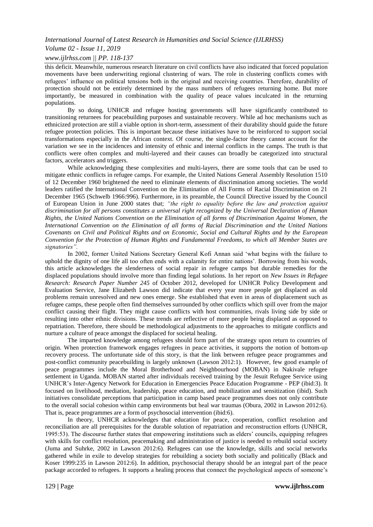### *Volume 02 - Issue 11, 2019*

### *www.ijlrhss.com || PP. 118-137*

this deficit. Meanwhile, numerous research literature on civil conflicts have also indicated that forced population movements have been underwriting regional clustering of wars. The role in clustering conflicts comes with refugees' influence on political tensions both in the original and receiving countries. Therefore, durability of protection should not be entirely determined by the mass numbers of refugees returning home. But more importantly, be measured in combination with the quality of peace values inculcated in the returning populations.

By so doing, UNHCR and refugee hosting governments will have significantly contributed to transitioning returnees for peacebuilding purposes and sustainable recovery. While ad hoc mechanisms such as ethnicized protection are still a viable option in short-term, assessment of their durability should guide the future refugee protection policies. This is important because these initiatives have to be reinforced to support social transformations especially in the African context. Of course, the single-factor theory cannot account for the variation we see in the incidences and intensity of ethnic and internal conflicts in the camps. The truth is that conflicts were often complex and multi-layered and their causes can broadly be categorized into structural factors, accelerators and triggers.

While acknowledging these complexities and multi-layers, there are some tools that can be used to mitigate ethnic conflicts in refugee camps. For example, the United Nations General Assembly Resolution 1510 of 12 December 1960 brightened the need to eliminate elements of discrimination among societies. The world leaders ratified the International Convention on the Elimination of All Forms of Racial Discrimination on 21 December 1965 (Schwelb 1966:996). Furthermore, in its preamble, the Council Directive issued by the Council of European Union in June 2000 states that; *"the right to equality before the law and protection against discrimination for all persons constitutes a universal right recognized by the Universal Declaration of Human Rights, the United Nations Convention on the Elimination of all forms of Discrimination Against Women, the International Convention on the Elimination of all forms of Racial Discrimination and the United Nations Covenants on Civil and Political Rights and on Economic, Social and Cultural Rights and by the European Convention for the Protection of Human Rights and Fundamental Freedoms, to which all Member States are signatories".*

In 2002, former United Nations Secretary General Kofi Annan said "what begins with the failure to uphold the dignity of one life all too often ends with a calamity for entire nations". Borrowing from his words, this article acknowledges the slenderness of social repair in refugee camps but durable remedies for the displaced populations should involve more than finding legal solutions. In her report on *New Issues in Refugee Research: Research Paper Number 245* of October 2012, developed for UNHCR Policy Development and Evaluation Service, Jane Elizabeth Lawson did indicate that every year more people get displaced as old problems remain unresolved and new ones emerge. She established that even in areas of displacement such as refugee camps, these people often find themselves surrounded by other conflicts which spill over from the major conflict causing their flight. They might cause conflicts with host communities, rivals living side by side or resulting into other ethnic divisions. These trends are reflective of more people being displaced as opposed to repatriation. Therefore, there should be methodological adjustments to the approaches to mitigate conflicts and nurture a culture of peace amongst the displaced for societal healing.

The imparted knowledge among refugees should form part of the strategy upon return to countries of origin. When protection framework engages refugees in peace activities, it supports the notion of bottom-up recovery process. The unfortunate side of this story, is that the link between refugee peace programmes and post-conflict community peacebuilding is largely unknown (Lawson 2012:1). However, few good example of peace programmes include the Moral Brotherhood and Neighbourhood (MOBAN) in Nakivale refugee settlement in Uganda. MOBAN started after individuals received training by the Jesuit Refugee Service using UNHCR"s Inter-Agency Network for Education in Emergencies Peace Education Programme - PEP (ibid:3). It focused on livelihood, mediation, leadership, peace education, and mobilization and sensitization (ibid). Such initiatives consolidate perceptions that participation in camp based peace programmes does not only contribute to the overall social cohesion within camp environments but heal war traumas (Obura, 2002 in Lawson 2012:6). That is, peace programmes are a form of psychosocial intervention (ibid:6).

In theory, UNHCR acknowledges that education for peace, cooperation, conflict resolution and reconciliation are all prerequisites for the durable solution of repatriation and reconstruction efforts (UNHCR, 1995:53). The discourse further states that empowering institutions such as elders" councils, equipping refugees with skills for conflict resolution, peacemaking and administration of justice is needed to rebuild social society (Juma and Suhrke, 2002 in Lawson 2012:6). Refugees can use the knowledge, skills and social networks gathered while in exile to develop strategies for rebuilding a society both socially and politically (Black and Koser 1999:235 in Lawson 2012:6). In addition, psychosocial therapy should be an integral part of the peace package accorded to refugees. It supports a healing process that connect the psychological aspects of someone"s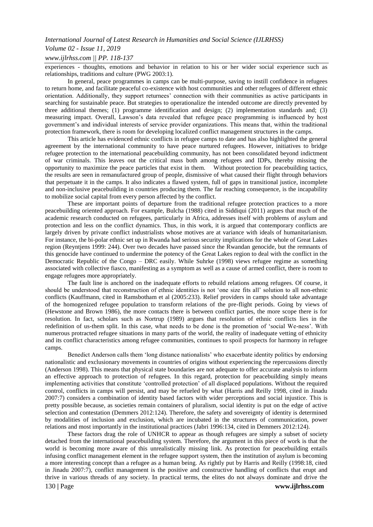# *Volume 02 - Issue 11, 2019*

## *www.ijlrhss.com || PP. 118-137*

experiences - thoughts, emotions and behavior in relation to his or her wider social experience such as relationships, traditions and culture (PWG 2003:1).

In general, peace programmes in camps can be multi-purpose, saving to instill confidence in refugees to return home, and facilitate peaceful co-existence with host communities and other refugees of different ethnic orientation. Additionally, they support returnees" connection with their communities as active participants in searching for sustainable peace. But strategies to operationalize the intended outcome are directly prevented by three additional themes; (1) programme identification and design; (2) implementation standards and; (3) measuring impact. Overall, Lawson"s data revealed that refugee peace programming is influenced by host government"s and individual interests of service provider organizations. This means that, within the traditional protection framework, there is room for developing localized conflict management structures in the camps.

This article has evidenced ethnic conflicts in refugee camps to date and has also highlighted the general agreement by the international community to have peace nurtured refugees. However, initiatives to bridge refugee protection to the international peacebuilding community, has not been consolidated beyond indictment of war criminals. This leaves out the critical mass both among refugees and IDPs, thereby missing the opportunity to maximize the peace particles that exist in them. Without protection for peacebuilding tactics, the results are seen in remanufactured group of people, dismissive of what caused their flight through behaviors that perpetuate it in the camps. It also indicates a flawed system, full of gaps in transitional justice, incomplete and non-inclusive peacebuilding in countries producing them. The far reaching consequence, is the incapability to mobilize social capital from every person affected by the conflict.

These are important points of departure from the traditional refugee protection practices to a more peacebuilding oriented approach. For example, Bulcha (1988) cited in Siddiqui (2011) argues that much of the academic research conducted on refugees, particularly in Africa, addresses itself with problems of asylum and protection and less on the conflict dynamics. Thus, in this work, it is argued that contemporary conflicts are largely driven by private conflict industrialists whose motives are at variance with ideals of humanitarianism. For instance, the bi-polar ethnic set up in Rwanda had serious security implications for the whole of Great Lakes region (Reyntjens 1999: 244). Over two decades have passed since the Rwandan genocide, but the remnants of this genocide have continued to undermine the potency of the Great Lakes region to deal with the conflict in the Democratic Republic of the Congo – DRC easily. While Suhrke (1998) views refugee regime as something associated with collective fiasco, manifesting as a symptom as well as a cause of armed conflict, there is room to engage refugees more appropriately.

The fault line is anchored on the inadequate efforts to rebuild relations among refugees. Of course, it should be understood that reconstruction of ethnic identities is not "one size fits all" solution to all non-ethnic conflicts (Kauffmann, cited in Ramsbotham et al (2005:233). Relief providers in camps should take advantage of the homogenized refugee population to transform relations of the pre-flight periods. Going by views of (Hewstone and Brown 1986), the more contacts there is between conflict parties, the more scope there is for resolution. In fact, scholars such as Nortrup (1989) argues that resolution of ethnic conflicts lies in the redefinition of us-them split. In this case, what needs to be done is the promotion of "social We-ness". With numerous protracted refugee situations in many parts of the world, the reality of inadequate vetting of ethnicity and its conflict characteristics among refugee communities, continues to spoil prospects for harmony in refugee camps.

Benedict Anderson calls them "long distance nationalists" who exacerbate identity politics by endorsing nationalistic and exclusionary movements in countries of origins without experiencing the repercussions directly (Anderson 1998). This means that physical state boundaries are not adequate to offer accurate analysis to inform an effective approach to protection of refugees. In this regard, protection for peacebuilding simply means implementing activities that constitute "controlled protection" of all displaced populations. Without the required control, conflicts in camps will persist, and may be refueled by what (Harris and Reilly 1998, cited in Jinadu 2007:7) considers a combination of identity based factors with wider perceptions and social injustice. This is pretty possible because, as societies remain containers of pluralism, social identity is put on the edge of active selection and contestation (Demmers 2012:124). Therefore, the safety and sovereignty of identity is determined by modalities of inclusion and exclusion, which are incubated in the structures of communication, power relations and most importantly in the institutional practices (Jabri 1996:134, cited in Demmers 2012:124).

These factors drag the role of UNHCR to appear as though refugees are simply a subset of society detached from the international peacebuilding system. Therefore, the argument in this piece of work is that the world is becoming more aware of this unrealistically missing link. As protection for peacebuilding entails infusing conflict management element in the refugee support system, then the institution of asylum is becoming a more interesting concept than a refugee as a human being. As rightly put by Harris and Reilly (1998:18, cited in Jinadu 2007:7), conflict management is the positive and constructive handling of conflicts that erupt and thrive in various threads of any society. In practical terms, the elites do not always dominate and drive the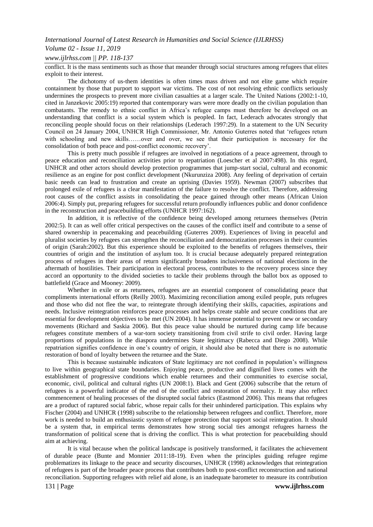# *Volume 02 - Issue 11, 2019*

## *www.ijlrhss.com || PP. 118-137*

conflict. It is the mass sentiments such as those that meander through social structures among refugees that elites exploit to their interest.

The dichotomy of us-them identities is often times mass driven and not elite game which require containment by those that purport to support war victims. The cost of not resolving ethnic conflicts seriously undermines the prospects to prevent more civilian casualties at a larger scale. The United Nations (2002:1-10, cited in Janzekovic 2005:19) reported that contemporary wars were more deadly on the civilian population than combatants. The remedy to ethnic conflict in Africa"s refugee camps must therefore be developed on an understanding that conflict is a social system which is peopled. In fact, Lederach advocates strongly that reconciling people should focus on their relationships (Lederach 1997:29). In a statement to the UN Security Council on 24 January 2004, UNHCR High Commissioner, Mr. Antonio Guterres noted that "refugees return with schooling and new skills……over and over, we see that their participation is necessary for the consolidation of both peace and post-conflict economic recovery".

This is pretty much possible if refugees are involved in negotiations of a peace agreement, through to peace education and reconciliation activities prior to repatriation (Loescher et al 2007:498). In this regard, UNHCR and other actors should develop protection programmes that jump-start social, cultural and economic resilience as an engine for post conflict development (Nkurunziza 2008). Any feeling of deprivation of certain basic needs can lead to frustration and create an uprising (Davies 1959). Newman (2007) subscribes that prolonged exile of refugees is a clear manifestation of the failure to resolve the conflict. Therefore, addressing root causes of the conflict assists in consolidating the peace gained through other means (African Union 2006:4). Simply put, preparing refugees for successful return profoundly influences public and donor confidence in the reconstruction and peacebuilding efforts (UNHCR 1997:162).

In addition, it is reflective of the confidence being developed among returnees themselves (Petrin 2002:5). It can as well offer critical perspectives on the causes of the conflict itself and contribute to a sense of shared ownership in peacemaking and peacebuilding (Guterres 2009). Experiences of living in peaceful and pluralist societies by refugees can strengthen the reconciliation and democratization processes in their countries of origin (Sarah:2002). But this experience should be exploited to the benefits of refugees themselves, their countries of origin and the institution of asylum too. It is crucial because adequately prepared reintegration process of refugees in their areas of return significantly broadens inclusiveness of national elections in the aftermath of hostilities. Their participation in electoral process, contributes to the recovery process since they accord an opportunity to the divided societies to tackle their problems through the ballot box as opposed to battlefield (Grace and Mooney: 2009).

Whether in exile or as returnees, refugees are an essential component of consolidating peace that compliments international efforts (Reilly 2003). Maximizing reconciliation among exiled people, puts refugees and those who did not flee the war, to reintegrate through identifying their skills, capacities, aspirations and needs. Inclusive reintegration reinforces peace processes and helps create stable and secure conditions that are essential for development objectives to be met (UN 2004). It has immense potential to prevent new or secondary movements (Richard and Saskia 2006). But this peace value should be nurtured during camp life because refugees constitute members of a war-torn society transitioning from civil strife to civil order. Having large proportions of populations in the diaspora undermines State legitimacy (Rabecca and Diego 2008). While repatriation signifies confidence in one"s country of origin, it should also be noted that there is no automatic restoration of bond of loyalty between the returnee and the State.

This is because sustainable indicators of State legitimacy are not confined in population's willingness to live within geographical state boundaries. Enjoying peace, productive and dignified lives comes with the establishment of progressive conditions which enable returnees and their communities to exercise social, economic, civil, political and cultural rights (UN 2008:1). Black and Gent (2006) subscribe that the return of refugees is a powerful indicator of the end of the conflict and restoration of normalcy. It may also reflect commencement of healing processes of the disrupted social fabrics (Eastmond 2006). This means that refugees are a product of raptured social fabric, whose repair calls for their unhindered participation. This explains why Fischer (2004) and UNHCR (1998) subscribe to the relationship between refugees and conflict. Therefore, more work is needed to build an enthusiastic system of refugee protection that support social reintegration. It should be a system that, in empirical terms demonstrates how strong social ties amongst refugees harness the transformation of political scene that is driving the conflict. This is what protection for peacebuilding should aim at achieving.

It is vital because when the political landscape is positively transformed, it facilitates the achievement of durable peace (Bunte and Monnier 2011:18-19). Even when the principles guiding refugee regime problematizes its linkage to the peace and security discourses, UNHCR (1998) acknowledges that reintegration of refugees is part of the broader peace process that contributes both to post-conflict reconstruction and national reconciliation. Supporting refugees with relief aid alone, is an inadequate barometer to measure its contribution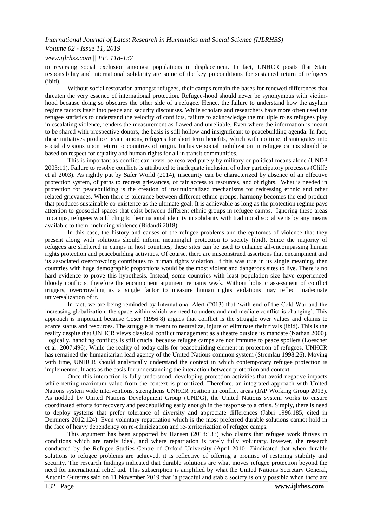#### *Volume 02 - Issue 11, 2019*

#### *www.ijlrhss.com || PP. 118-137*

to reversing social exclusion amongst populations in displacement. In fact, UNHCR posits that State responsibility and international solidarity are some of the key preconditions for sustained return of refugees (ibid).

Without social restoration amongst refugees, their camps remain the bases for renewed differences that threaten the very essence of international protection. Refugee-hood should never be synonymous with victimhood because doing so obscures the other side of a refugee. Hence, the failure to understand how the asylum regime factors itself into peace and security discourses. While scholars and researchers have more often used the refugee statistics to understand the velocity of conflicts, failure to acknowledge the multiple roles refugees play in escalating violence, renders the measurement as flawed and unreliable. Even where the information is meant to be shared with prospective donors, the basis is still hollow and insignificant to peacebuilding agenda. In fact, these initiatives produce peace among refugees for short term benefits, which with no time, disintegrates into social divisions upon return to countries of origin. Inclusive social mobilization in refugee camps should be based on respect for equality and human rights for all in transit communities.

This is important as conflict can never be resolved purely by military or political means alone (UNDP 2003:11). Failure to resolve conflicts is attributed to inadequate inclusion of other participatory processes (Cliffe et al 2003). As rightly put by Safer World (2014), insecurity can be characterized by absence of an effective protection system, of paths to redress grievances, of fair access to resources, and of rights. What is needed in protection for peacebuilding is the creation of institutionalized mechanisms for redressing ethnic and other related grievances. When there is tolerance between different ethnic groups, harmony becomes the end product that produces sustainable co-existence as the ultimate goal. It is achievable as long as the protection regime pays attention to geosocial spaces that exist between different ethnic groups in refugee camps. Ignoring these areas in camps, refugees would cling to their national identity in solidarity with traditional social vents by any means available to them, including violence (Bidandi 2018).

In this case, the history and causes of the refugee problems and the epitomes of violence that they present along with solutions should inform meaningful protection to society (ibid). Since the majority of refugees are sheltered in camps in host countries, these sites can be used to enhance all-encompassing human rights protection and peacebuilding activities. Of course, there are misconstrued assertions that encampment and its associated overcrowding contributes to human rights violation. If this was true in its single meaning, then countries with huge demographic proportions would be the most violent and dangerous sites to live. There is no hard evidence to prove this hypothesis. Instead, some countries with least population size have experienced bloody conflicts, therefore the encampment argument remains weak. Without holistic assessment of conflict triggers, overcrowding as a single factor to measure human rights violations may reflect inadequate universalization of it.

In fact, we are being reminded by International Alert (2013) that "with end of the Cold War and the increasing globalization, the space within which we need to understand and mediate conflict is changing". This approach is important because Coser (1956:8) argues that conflict is the struggle over values and claims to scarce status and resources. The struggle is meant to neutralize, injure or eliminate their rivals (ibid). This is the reality despite that UNHCR views classical conflict management as a theatre outside its mandate (Nathan 2000). Logically, handling conflicts is still crucial because refugee camps are not immune to peace spoilers (Loescher et al: 2007:496). While the reality of today calls for peacebuilding element in protection of refugees, UNHCR has remained the humanitarian lead agency of the United Nations common system (Stremlau 1998:26). Moving with time, UNHCR should analytically understand the context in which contemporary refugee protection is implemented. It acts as the basis for understanding the interaction between protection and context.

Once this interaction is fully understood, developing protection activities that avoid negative impacts while netting maximum value from the context is prioritized. Therefore, an integrated approach with United Nations system wide interventions, strengthens UNHCR position in conflict areas (IAP Working Group 2013). As nodded by United Nations Development Group (UNDG), the United Nations system works to ensure coordinated efforts for recovery and peacebuilding early enough in the response to a crisis. Simply, there is need to deploy systems that prefer tolerance of diversity and appreciate differences (Jabri 1996:185, cited in Demmers 2012:124). Even voluntary repatriation which is the most preferred durable solutions cannot hold in the face of heavy dependency on re-ethnicization and re-territorization of refugee camps.

This argument has been supported by Hansen (2018:133) who claims that refugee work thrives in conditions which are rarely ideal, and where repatriation is rarely fully voluntary.However, the research conducted by the Refugee Studies Centre of Oxford University (April 2010:17)indicated that when durable solutions to refugee problems are achieved, it is reflective of offering a promise of restoring stability and security. The research findings indicated that durable solutions are what moves refugee protection beyond the need for international relief aid. This subscription is amplified by what the United Nations Secretary General, Antonio Guterres said on 11 November 2019 that "a peaceful and stable society is only possible when there are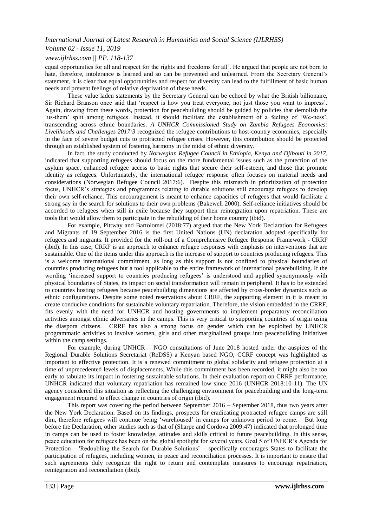# *Volume 02 - Issue 11, 2019*

# *www.ijlrhss.com || PP. 118-137*

equal opportunities for all and respect for the rights and freedoms for all". He argued that people are not born to hate, therefore, intolerance is learned and so can be prevented and unlearned. From the Secretary General's statement, it is clear that equal opportunities and respect for diversity can lead to the fulfillment of basic human needs and prevent feelings of relative deprivation of these needs.

These value laden statements by the Secretary General can be echoed by what the British billionaire, Sir Richard Branson once said that "respect is how you treat everyone, not just those you want to impress". Again, drawing from these words, protection for peacebuilding should be guided by policies that demolish the 'us-them' split among refugees. Instead, it should facilitate the establishment of a feeling of 'We-ness', transcending across ethnic boundaries. *A UNHCR Commissioned Study on Zambia Refugees Economies: Livelihoods and Challenges 2017:3* recognized the refugee contributions to host-country economies, especially in the face of severe budget cuts to protracted refugee crises. However, this contribution should be protected through an established system of fostering harmony in the midst of ethnic diversity.

In fact, the study conducted by *Norwegian Refugee Council in Ethiopia, Kenya and Djibouti in 2017,*  indicated that supporting refugees should focus on the more fundamental issues such as the protection of the asylum space, enhanced refugee access to basic rights that secure their self-esteem, and those that promote identity as refugees. Unfortunately, the international refugee response often focuses on material needs and considerations (Norwegian Refugee Council 2017:6). Despite this mismatch in prioritization of protection focus, UNHCR"s strategies and programmes relating to durable solutions still encourage refugees to develop their own self-reliance. This encouragement is meant to enhance capacities of refugees that would facilitate a strong say in the search for solutions to their own problems (Bakewell 2000). Self-reliance initiatives should be accorded to refugees when still in exile because they support their reintegration upon repatriation. These are tools that would allow them to participate in the rebuilding of their home country (ibid).

For example, Pittway and Bartolomei (2018:77) argued that the New York Declaration for Refugees and Migrants of 19 September 2016 is the first United Nations (UN) declaration adopted specifically for refugees and migrants. It provided for the roll-out of a Comprehensive Refugee Response Framework - CRRF (ibid). In this case, CRRF is an approach to enhance refugee responses with emphasis on interventions that are sustainable. One of the items under this approach is the increase of support to countries producing refugees. This is a welcome international commitment, as long as this support is not confined to physical boundaries of countries producing refugees but a tool applicable to the entire framework of international peacebuilding. If the wording "increased support to countries producing refugees" is understood and applied synonymously with physical boundaries of States, its impact on social transformation will remain in peripheral. It has to be extended to countries hosting refugees because peacebuilding dimensions are affected by cross-border dynamics such as ethnic configurations. Despite some noted reservations about CRRF, the supporting element in it is meant to create conducive conditions for sustainable voluntary repatriation. Therefore, the vision embedded in the CRRF, fits evenly with the need for UNHCR and hosting governments to implement preparatory reconciliation activities amongst ethnic adversaries in the camps. This is very critical to supporting countries of origin using the diaspora citizens. CRRF has also a strong focus on gender which can be exploited by UNHCR programmatic activities to involve women, girls and other marginalized groups into peacebuilding initiatives within the camp settings.

For example, during UNHCR – NGO consultations of June 2018 hosted under the auspices of the Regional Durable Solutions Secretariat (ReDSS) a Kenyan based NGO, CCRF concept was highlighted as important to effective protection. It is a renewed commitment to global solidarity and refugee protection at a time of unprecedented levels of displacements. While this commitment has been recorded, it might also be too early to tabulate its impact in fostering sustainable solutions. In their evaluation report on CRRF performance, UNHCR indicated that voluntary repatriation has remained low since 2016 (UNHCR 2018:10-11). The UN agency considered this situation as reflecting the challenging environment for peacebuilding and the long-term engagement required to effect change in countries of origin (ibid).

This report was covering the period between September 2016 – September 2018, thus two years after the New York Declaration. Based on its findings, prospects for eradicating protracted refugee camps are still dim, therefore refugees will continue being "warehoused" in camps for unknown period to come. But long before the Declaration, other studies such as that of (Sharpe and Cordova 2009:47) indicated that prolonged time in camps can be used to foster knowledge, attitudes and skills critical to future peacebuilding. In this sense, peace education for refugees has been on the global spotlight for several years. Goal 5 of UNHCR"s Agenda for Protection – 'Redoubling the Search for Durable Solutions' – specifically encourages States to facilitate the participation of refugees, including women, in peace and reconciliation processes. It is important to ensure that such agreements duly recognize the right to return and contemplate measures to encourage repatriation, reintegration and reconciliation (ibid).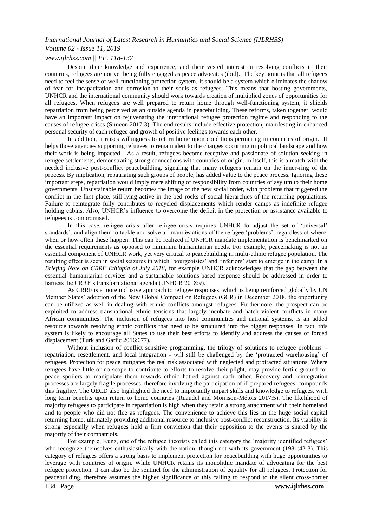# *International Journal of Latest Research in Humanities and Social Science (IJLRHSS) Volume 02 - Issue 11, 2019*

# *www.ijlrhss.com || PP. 118-137*

Despite their knowledge and experience, and their vested interest in resolving conflicts in their countries, refugees are not yet being fully engaged as peace advocates (ibid). The key point is that all refugees need to feel the sense of well-functioning protection system. It should be a system which eliminates the shadow of fear for incapacitation and corrosion to their souls as refugees. This means that hosting governments, UNHCR and the international community should work towards creation of multiplied zones of opportunities for all refugees. When refugees are well prepared to return home through well-functioning system, it shields repatriation from being perceived as an outside agenda in peacebuilding. These reforms, taken together, would have an important impact on rejuvenating the international refugee protection regime and responding to the causes of refugee crises (Simeon 2017:3). The end results include effective protection, manifesting in enhanced personal security of each refugee and growth of positive feelings towards each other.

In addition, it raises willingness to return home upon conditions permitting in countries of origin. It helps those agencies supporting refugees to remain alert to the changes occurring in political landscape and how their work is being impacted. As a result, refugees become receptive and passionate of solution seeking in refugee settlements, demonstrating strong connections with countries of origin. In itself, this is a match with the needed inclusive post-conflict peacebuilding, signaling that many refugees remain on the inner-ring of the process. By implication, repatriating such groups of people, has added value to the peace process. Ignoring these important steps, repatriation would imply mere shifting of responsibility from countries of asylum to their home governments. Unsustainable return becomes the image of the new social order, with problems that triggered the conflict in the first place, still lying active in the bed rocks of social hierarchies of the returning populations. Failure to reintegrate fully contributes to recycled displacements which render camps as indefinite refugee holding cabins. Also, UNHCR's influence to overcome the deficit in the protection or assistance available to refugees is compromised.

In this case, refugee crisis after refugee crisis requires UNHCR to adjust the set of "universal" standards", and align them to tackle and solve all manifestations of the refugee "problems", regardless of where, when or how often these happen. This can be realized if UNHCR mandate implementation is benchmarked on the essential requirements as opposed to minimum humanitarian needs. For example, peacemaking is not an essential component of UNHCR work, yet very critical to peacebuilding in multi-ethnic refugee population. The resulting effect is seen in social seizures in which "bourgeoisies" and "inferiors" start to emerge in the camp. In a *Briefing Note on CRRF Ethiopia of July 2018,* for example UNHCR acknowledges that the gap between the essential humanitarian services and a sustainable solutions-based response should be addressed in order to harness the CRRF's transformational agenda (UNHCR 2018:9).

As CRRF is a more inclusive approach to refugee responses, which is being reinforced globally by UN Member States' adoption of the New Global Compact on Refugees (GCR) in December 2018, the opportunity can be utilized as well in dealing with ethnic conflicts amongst refugees. Furthermore, the prospect can be exploited to address transnational ethnic tensions that largely incubate and hatch violent conflicts in many African communities. The inclusion of refugees into host communities and national systems, is an added resource towards resolving ethnic conflicts that need to be structured into the bigger responses. In fact, this system is likely to encourage all States to use their best efforts to identify and address the causes of forced displacement (Turk and Garlic 2016:677).

Without inclusion of conflict sensitive programming, the trilogy of solutions to refugee problems – repatriation, resettlement, and local integration - will still be challenged by the "protracted warehousing" of refugees. Protection for peace mitigates the real risk associated with neglected and protracted situations. Where refugees have little or no scope to contribute to efforts to resolve their plight, may provide fertile ground for peace spoilers to manipulate them towards ethnic hatred against each other. Recovery and reintegration processes are largely fragile processes, therefore involving the participation of ill prepared refugees, compounds this fragility. The OECD also highlighted the need to importantly impart skills and knowledge to refugees, with long term benefits upon return to home countries (Ruaudel and Morrison-Métois 2017:5). The likelihood of majority refugees to participate in repatriation is high when they retain a strong attachment with their homeland and to people who did not flee as refugees. The convenience to achieve this lies in the huge social capital returning home, ultimately providing additional resource to inclusive post-conflict reconstruction. Its viability is strong especially when refugees hold a firm conviction that their opposition to the events is shared by the majority of their compatriots.

For example, Kunz, one of the refugee theorists called this category the 'majority identified refugees' who recognize themselves enthusiastically with the nation, though not with its government (1981:42-3). This category of refugees offers a strong basis to implement protection for peacebuilding with huge opportunities to leverage with countries of origin. While UNHCR retains its monolithic mandate of advocating for the best refugee protection, it can also be the sentinel for the administration of equality for all refugees. Protection for peacebuilding, therefore assumes the higher significance of this calling to respond to the silent cross-border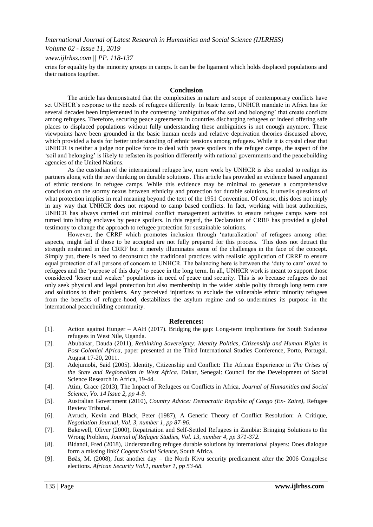# *Volume 02 - Issue 11, 2019*

## *www.ijlrhss.com || PP. 118-137*

cries for equality by the minority groups in camps. It can be the ligament which holds displaced populations and their nations together.

#### **Conclusion**

The article has demonstrated that the complexities in nature and scope of contemporary conflicts have set UNHCR"s response to the needs of refugees differently. In basic terms, UNHCR mandate in Africa has for several decades been implemented in the contesting "ambiguities of the soil and belonging" that create conflicts among refugees. Therefore, securing peace agreements in countries discharging refugees or indeed offering safe places to displaced populations without fully understanding these ambiguities is not enough anymore. These viewpoints have been grounded in the basic human needs and relative deprivation theories discussed above, which provided a basis for better understanding of ethnic tensions among refugees. While it is crystal clear that UNHCR is neither a judge nor police force to deal with peace spoilers in the refugee camps, the aspect of the "soil and belonging" is likely to refasten its position differently with national governments and the peacebuilding agencies of the United Nations.

As the custodian of the international refugee law, more work by UNHCR is also needed to realign its partners along with the new thinking on durable solutions. This article has provided an evidence based argument of ethnic tensions in refugee camps. While this evidence may be minimal to generate a comprehensive conclusion on the stormy nexus between ethnicity and protection for durable solutions, it unveils questions of what protection implies in real meaning beyond the text of the 1951 Convention. Of course, this does not imply in any way that UNHCR does not respond to camp based conflicts. In fact, working with host authorities, UNHCR has always carried out minimal conflict management activities to ensure refugee camps were not turned into hiding enclaves by peace spoilers. In this regard, the Declaration of CRRF has provided a global testimony to change the approach to refugee protection for sustainable solutions.

However, the CRRF which promotes inclusion through "naturalization" of refugees among other aspects, might fail if those to be accepted are not fully prepared for this process. This does not detract the strength enshrined in the CRRF but it merely illuminates some of the challenges in the face of the concept. Simply put, there is need to deconstruct the traditional practices with realistic application of CRRF to ensure equal protection of all persons of concern to UNHCR. The balancing here is between the "duty to care" owed to refugees and the "purpose of this duty" to peace in the long term. In all, UNHCR work is meant to support those considered "lesser and weaker" populations in need of peace and security. This is so because refugees do not only seek physical and legal protection but also membership in the wider stable polity through long term care and solutions to their problems. Any perceived injustices to exclude the vulnerable ethnic minority refugees from the benefits of refugee-hood, destabilizes the asylum regime and so undermines its purpose in the international peacebuilding community.

#### **References:**

- [1]. Action against Hunger AAH (2017). Bridging the gap: Long-term implications for South Sudanese refugees in West Nile, Uganda.
- [2]. Abubakar, Dauda (2011), *Rethinking Sovereignty: Identity Politics, Citizenship and Human Rights in Post-Colonial Africa,* paper presented at the Third International Studies Conference, Porto, Portugal. August 17-20, 2011.
- [3]. Adejumobi, Said (2005). Identity, Citizenship and Conflict: The African Experience in *The Crises of the State and Regionalism in West Africa.* Dakar, Senegal: Council for the Development of Social Science Research in Africa, 19-44.
- [4]. Atim, Grace (2013), The Impact of Refugees on Conflicts in Africa, *Journal of Humanities and Social Science, Vo. 14 Issue 2, pp 4-9.*
- [5]. Australian Government (2010), *Country Advice: Democratic Republic of Congo (Ex- Zaire),* Refugee Review Tribunal.
- [6]. Avruch, Kevin and Black, Peter (1987), A Generic Theory of Conflict Resolution: A Critique, *Negotiation Journal, Vol. 3, number 1, pp 87-96.*
- [7]. Bakewell, Oliver (2000), Repatriation and Self-Settled Refugees in Zambia: Bringing Solutions to the Wrong Problem, *Journal of Refugee Studies, Vol. 13, number 4, pp 371-372.*
- [8]. Bidandi, Fred (2018), Understanding refugee durable solutions by international players: Does dialogue form a missing link? *Cogent Social Science,* South Africa.
- [9]. Bøås, M. (2008), Just another day the North Kivu security predicament after the 2006 Congolese elections. *African Security Vol.1, number 1, pp 53*‐*68.*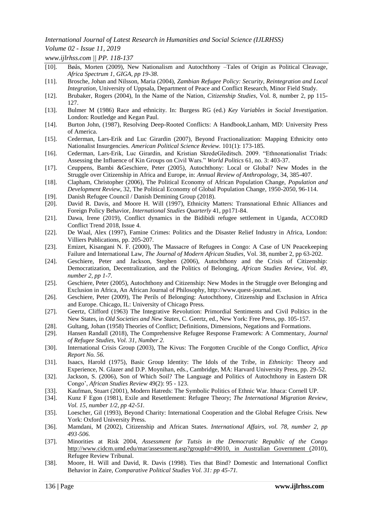# *Volume 02 - Issue 11, 2019*

*www.ijlrhss.com || PP. 118-137*

- [10]. Bøås, Morten (2009), New Nationalism and Autochthony –Tales of Origin as Political Cleavage, *Africa Spectrum 1, GIGA, pp 19-38*.
- [11]. Brosche, Johan and Nilsson, Maria (2004), *Zambian Refugee Policy: Security, Reintegration and Local Integration,* University of Uppsala, Department of Peace and Conflict Research, Minor Field Study.
- [12]. Brubaker, Rogers (2004), In the Name of the Nation, *Citizenship Studies*, Vol. 8, number 2, pp 115- 127.
- [13]. Bulmer M (1986) Race and ethnicity. In: Burgess RG (ed.) *Key Variables in Social Investigation*. London: Routledge and Kegan Paul.
- [14]. Burton John, (1987), Resolving Deep-Rooted Conflicts: A Handbook,Lanham, MD: University Press of America.
- [15]. Cederman, Lars-Erik and Luc Girardin (2007), Beyond Fractionalization: Mapping Ethnicity onto Nationalist Insurgencies. *American Political Science Review.* 101(1): 173-185.
- [16]. Cederman, Lars-Erik, Luc Girardin, and Kristian SkredeGleditsch. 2009. "Ethnonationalist Triads: Assessing the Influence of Kin Groups on Civil Wars." *World Politics* 61, no. 3: 403-37.
- [17]. Ceuppens, Bambi &Geschiere, Peter (2005), Autochthony: Local or Global? New Modes in the Struggle over Citizenship in Africa and Europe, in: *Annual Review of Anthropology*, 34, 385-407.
- [18]. Clapham, Christopher (2006), The Political Economy of African Population Change, *Population and Development Review*, 32, The Political Economy of Global Population Change, 1950-2050, 96-114.
- [19]. Danish Refugee Council / Danish Demining Group (2018).
- [20]. David R. Davis, and Moore H. Will (1997), Ethnicity Matters: Transnational Ethnic Alliances and Foreign Policy Behavior, *International Studies Quarterly* 41, pp171-84.
- [21]. Dawa, Irene (2019), Conflict dynamics in the Bidibidi refugee settlement in Uganda, ACCORD Conflict Trend 2018, Issue 4.
- [22]. De Waal, Alex (1997), Famine Crimes: Politics and the Disaster Relief Industry in Africa, London: Villiers Publications, pp. 205-207.
- [23]. Emizet, Kisangani N. F. (2000), The Massacre of Refugees in Congo: A Case of UN Peacekeeping Failure and International Law, *The Journal of Modern African Studies*, Vol. 38, number 2, pp 63-202.
- [24]. Geschiere, Peter and Jackson, Stephen (2006), Autochthony and the Crisis of Citizenship: Democratization, Decentralization, and the Politics of Belonging, *African Studies Review*, *Vol. 49, number 2, pp 1-7.*
- [25]. Geschiere, Peter (2005), Autochthony and Citizenship: New Modes in the Struggle over Belonging and Exclusion in Africa, An African Journal of Philosophy, http://www.quest-journal.net.
- [26]. Geschiere, Peter (2009), The Perils of Belonging: Autochthony, Citizenship and Exclusion in Africa and Europe. Chicago, IL: University of Chicago Press.
- [27]. Geertz, Clifford (1963) The Integrative Revolution: Primordial Sentiments and Civil Politics in the New States, in *Old Societies and New States*, C. Geertz, ed., New York: Free Press, pp. 105-157.
- [28]. Gultang, Johan (1958) Theories of Conflict; Definitions, Dimensions, Negations and Formations.
- [29]. Hansen Randall (2018), The Comprehensive Refugee Response Framework: A Commentary, *Journal of Refugee Studies, Vol. 31, Number 2.*
- [30]. International Crisis Group (2003), The Kivus: The Forgotten Crucible of the Congo Conflict, *Africa Report No. 56.*
- [31]. Isaacs, Harold (1975), Basic Group Identity: The Idols of the Tribe, in *Ethnicity:* Theory and Experience, N. Glazer and D.P. Moynihan, eds., Cambridge, MA: Harvard University Press, pp. 29-52.
- [32]. Jackson, S. (2006), Son of Which Soil? The Language and Politics of Autochthony in Eastern DR Congo", *African Studies Review* 49(2): 95 - 123.
- [33]. Kaufman, Stuart (2001), Modern Hatreds: The Symbolic Politics of Ethnic War. Ithaca: Cornell UP.
- [34]. Kunz F Egon (1981), Exile and Resettlement: Refugee Theory; *The International Migration Review, Vol. 15, number 1/2, pp 42-51.*
- [35]. Loescher, Gil (1993), Beyond Charity: International Cooperation and the Global Refugee Crisis. New York: Oxford University Press.
- [36]. Mamdani, M (2002), Citizenship and African States. *International Affairs, vol. 78, number 2, pp 493*‐*506.*
- [37]. Minorities at Risk 2004, *Assessment for Tutsis in the Democratic Republic of the Congo*  http://www.cidcm.umd.edu/mar/assessment.asp?groupId=49010, in Australian Government (2010), Refugee Review Tribunal.
- [38]. Moore, H. Will and David, R. Davis (1998). Ties that Bind? Domestic and International Conflict Behavior in Zaire, *Comparative Political Studies Vol. 31: pp 45-71.*